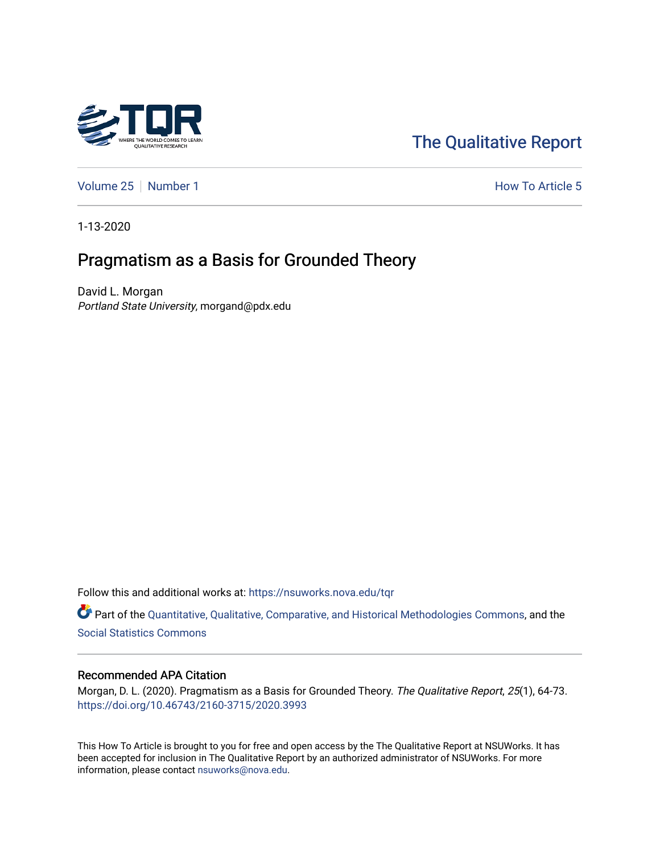

# [The Qualitative Report](https://nsuworks.nova.edu/tqr)

[Volume 25](https://nsuworks.nova.edu/tqr/vol25) [Number 1](https://nsuworks.nova.edu/tqr/vol25/iss1) **How To Article 5** 

1-13-2020

# Pragmatism as a Basis for Grounded Theory

David L. Morgan Portland State University, morgand@pdx.edu

Follow this and additional works at: [https://nsuworks.nova.edu/tqr](https://nsuworks.nova.edu/tqr?utm_source=nsuworks.nova.edu%2Ftqr%2Fvol25%2Fiss1%2F5&utm_medium=PDF&utm_campaign=PDFCoverPages) 

Part of the [Quantitative, Qualitative, Comparative, and Historical Methodologies Commons,](http://network.bepress.com/hgg/discipline/423?utm_source=nsuworks.nova.edu%2Ftqr%2Fvol25%2Fiss1%2F5&utm_medium=PDF&utm_campaign=PDFCoverPages) and the [Social Statistics Commons](http://network.bepress.com/hgg/discipline/1275?utm_source=nsuworks.nova.edu%2Ftqr%2Fvol25%2Fiss1%2F5&utm_medium=PDF&utm_campaign=PDFCoverPages) 

#### Recommended APA Citation

Morgan, D. L. (2020). Pragmatism as a Basis for Grounded Theory. The Qualitative Report, 25(1), 64-73. <https://doi.org/10.46743/2160-3715/2020.3993>

This How To Article is brought to you for free and open access by the The Qualitative Report at NSUWorks. It has been accepted for inclusion in The Qualitative Report by an authorized administrator of NSUWorks. For more information, please contact [nsuworks@nova.edu.](mailto:nsuworks@nova.edu)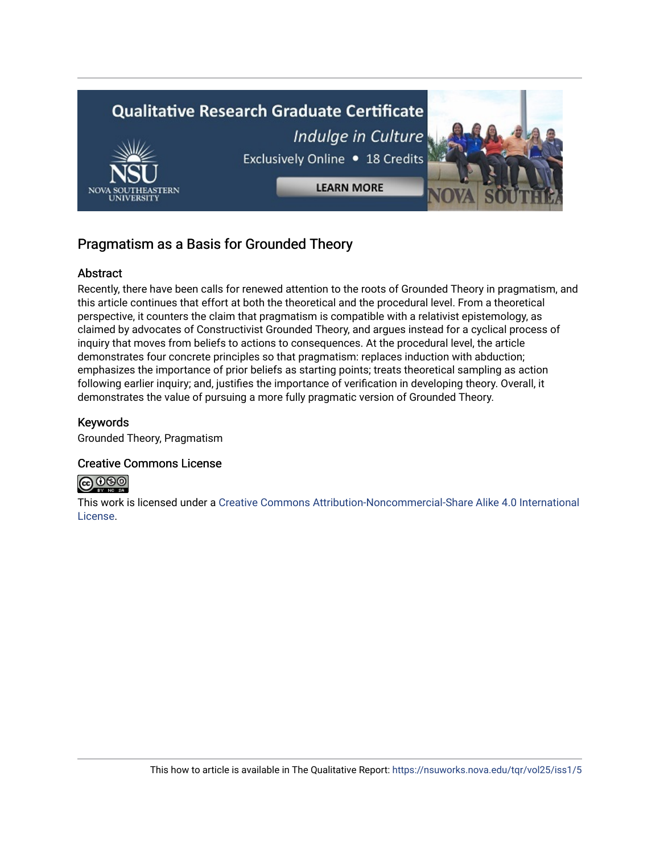

# Pragmatism as a Basis for Grounded Theory

## Abstract

Recently, there have been calls for renewed attention to the roots of Grounded Theory in pragmatism, and this article continues that effort at both the theoretical and the procedural level. From a theoretical perspective, it counters the claim that pragmatism is compatible with a relativist epistemology, as claimed by advocates of Constructivist Grounded Theory, and argues instead for a cyclical process of inquiry that moves from beliefs to actions to consequences. At the procedural level, the article demonstrates four concrete principles so that pragmatism: replaces induction with abduction; emphasizes the importance of prior beliefs as starting points; treats theoretical sampling as action following earlier inquiry; and, justifies the importance of verification in developing theory. Overall, it demonstrates the value of pursuing a more fully pragmatic version of Grounded Theory.

## Keywords

Grounded Theory, Pragmatism

### Creative Commons License



This work is licensed under a [Creative Commons Attribution-Noncommercial-Share Alike 4.0 International](https://creativecommons.org/licenses/by-nc-sa/4.0/)  [License](https://creativecommons.org/licenses/by-nc-sa/4.0/).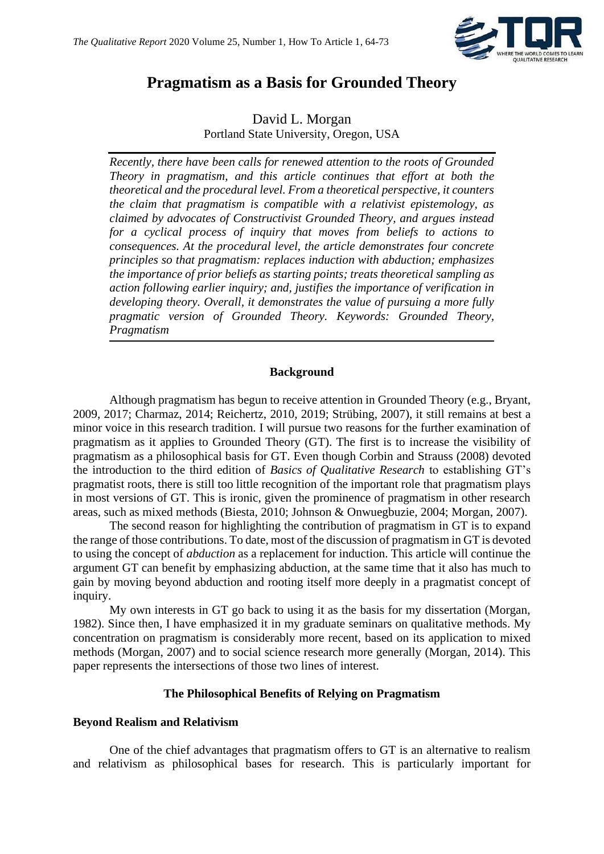

# **Pragmatism as a Basis for Grounded Theory**

David L. Morgan Portland State University, Oregon, USA

*Recently, there have been calls for renewed attention to the roots of Grounded Theory in pragmatism, and this article continues that effort at both the theoretical and the procedural level. From a theoretical perspective, it counters the claim that pragmatism is compatible with a relativist epistemology, as claimed by advocates of Constructivist Grounded Theory, and argues instead for a cyclical process of inquiry that moves from beliefs to actions to consequences. At the procedural level, the article demonstrates four concrete principles so that pragmatism: replaces induction with abduction; emphasizes the importance of prior beliefs as starting points; treats theoretical sampling as action following earlier inquiry; and, justifies the importance of verification in developing theory. Overall, it demonstrates the value of pursuing a more fully pragmatic version of Grounded Theory. Keywords: Grounded Theory, Pragmatism*

#### **Background**

Although pragmatism has begun to receive attention in Grounded Theory (e.g., Bryant, 2009, 2017; Charmaz, 2014; Reichertz, 2010, 2019; Strübing, 2007), it still remains at best a minor voice in this research tradition. I will pursue two reasons for the further examination of pragmatism as it applies to Grounded Theory (GT). The first is to increase the visibility of pragmatism as a philosophical basis for GT. Even though Corbin and Strauss (2008) devoted the introduction to the third edition of *Basics of Qualitative Research* to establishing GT's pragmatist roots, there is still too little recognition of the important role that pragmatism plays in most versions of GT. This is ironic, given the prominence of pragmatism in other research areas, such as mixed methods (Biesta, 2010; Johnson & Onwuegbuzie, 2004; Morgan, 2007).

The second reason for highlighting the contribution of pragmatism in GT is to expand the range of those contributions. To date, most of the discussion of pragmatism in GT is devoted to using the concept of *abduction* as a replacement for induction. This article will continue the argument GT can benefit by emphasizing abduction, at the same time that it also has much to gain by moving beyond abduction and rooting itself more deeply in a pragmatist concept of inquiry.

My own interests in GT go back to using it as the basis for my dissertation (Morgan, 1982). Since then, I have emphasized it in my graduate seminars on qualitative methods. My concentration on pragmatism is considerably more recent, based on its application to mixed methods (Morgan, 2007) and to social science research more generally (Morgan, 2014). This paper represents the intersections of those two lines of interest.

#### **The Philosophical Benefits of Relying on Pragmatism**

#### **Beyond Realism and Relativism**

One of the chief advantages that pragmatism offers to GT is an alternative to realism and relativism as philosophical bases for research. This is particularly important for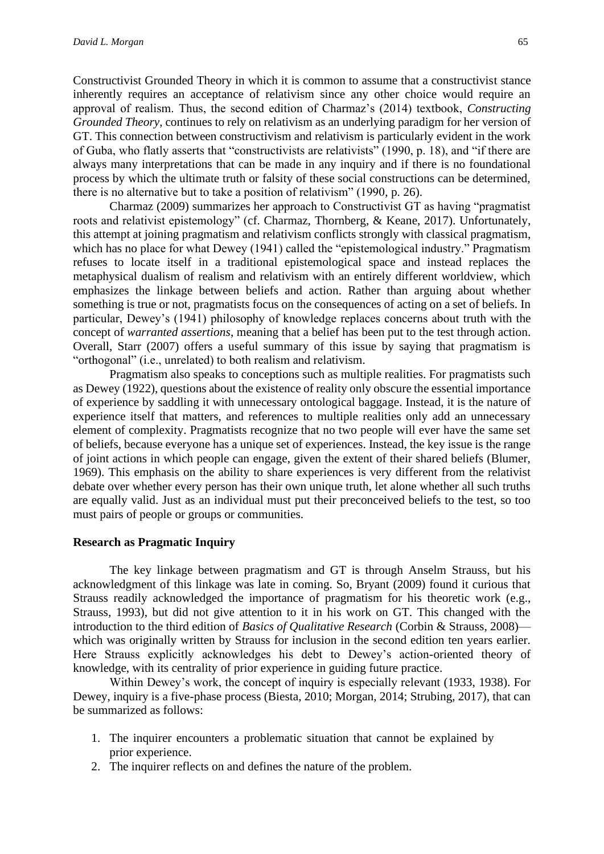Constructivist Grounded Theory in which it is common to assume that a constructivist stance inherently requires an acceptance of relativism since any other choice would require an approval of realism. Thus, the second edition of Charmaz's (2014) textbook, *Constructing Grounded Theory*, continues to rely on relativism as an underlying paradigm for her version of GT. This connection between constructivism and relativism is particularly evident in the work of Guba, who flatly asserts that "constructivists are relativists" (1990, p. 18), and "if there are always many interpretations that can be made in any inquiry and if there is no foundational process by which the ultimate truth or falsity of these social constructions can be determined, there is no alternative but to take a position of relativism" (1990, p. 26).

Charmaz (2009) summarizes her approach to Constructivist GT as having "pragmatist roots and relativist epistemology" (cf. Charmaz, Thornberg, & Keane, 2017). Unfortunately, this attempt at joining pragmatism and relativism conflicts strongly with classical pragmatism, which has no place for what Dewey (1941) called the "epistemological industry." Pragmatism refuses to locate itself in a traditional epistemological space and instead replaces the metaphysical dualism of realism and relativism with an entirely different worldview, which emphasizes the linkage between beliefs and action. Rather than arguing about whether something is true or not, pragmatists focus on the consequences of acting on a set of beliefs. In particular, Dewey's (1941) philosophy of knowledge replaces concerns about truth with the concept of *warranted assertions*, meaning that a belief has been put to the test through action. Overall, Starr (2007) offers a useful summary of this issue by saying that pragmatism is "orthogonal" (i.e., unrelated) to both realism and relativism.

Pragmatism also speaks to conceptions such as multiple realities. For pragmatists such as Dewey (1922), questions about the existence of reality only obscure the essential importance of experience by saddling it with unnecessary ontological baggage. Instead, it is the nature of experience itself that matters, and references to multiple realities only add an unnecessary element of complexity. Pragmatists recognize that no two people will ever have the same set of beliefs, because everyone has a unique set of experiences. Instead, the key issue is the range of joint actions in which people can engage, given the extent of their shared beliefs (Blumer, 1969). This emphasis on the ability to share experiences is very different from the relativist debate over whether every person has their own unique truth, let alone whether all such truths are equally valid. Just as an individual must put their preconceived beliefs to the test, so too must pairs of people or groups or communities.

#### **Research as Pragmatic Inquiry**

The key linkage between pragmatism and GT is through Anselm Strauss, but his acknowledgment of this linkage was late in coming. So, Bryant (2009) found it curious that Strauss readily acknowledged the importance of pragmatism for his theoretic work (e.g., Strauss, 1993), but did not give attention to it in his work on GT. This changed with the introduction to the third edition of *Basics of Qualitative Research* (Corbin & Strauss, 2008) which was originally written by Strauss for inclusion in the second edition ten years earlier. Here Strauss explicitly acknowledges his debt to Dewey's action-oriented theory of knowledge, with its centrality of prior experience in guiding future practice.

Within Dewey's work, the concept of inquiry is especially relevant (1933, 1938). For Dewey, inquiry is a five-phase process (Biesta, 2010; Morgan, 2014; Strubing, 2017), that can be summarized as follows:

- 1. The inquirer encounters a problematic situation that cannot be explained by prior experience.
- 2. The inquirer reflects on and defines the nature of the problem.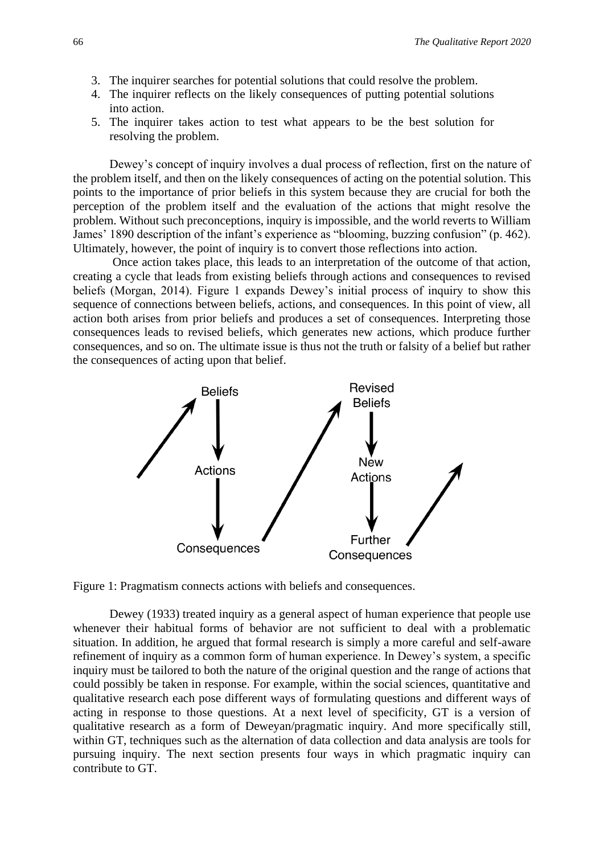- 3. The inquirer searches for potential solutions that could resolve the problem.
- 4. The inquirer reflects on the likely consequences of putting potential solutions into action.
- 5. The inquirer takes action to test what appears to be the best solution for resolving the problem.

Dewey's concept of inquiry involves a dual process of reflection, first on the nature of the problem itself, and then on the likely consequences of acting on the potential solution. This points to the importance of prior beliefs in this system because they are crucial for both the perception of the problem itself and the evaluation of the actions that might resolve the problem. Without such preconceptions, inquiry is impossible, and the world reverts to William James' 1890 description of the infant's experience as "blooming, buzzing confusion" (p. 462). Ultimately, however, the point of inquiry is to convert those reflections into action.

Once action takes place, this leads to an interpretation of the outcome of that action, creating a cycle that leads from existing beliefs through actions and consequences to revised beliefs (Morgan, 2014). Figure 1 expands Dewey's initial process of inquiry to show this sequence of connections between beliefs, actions, and consequences. In this point of view, all action both arises from prior beliefs and produces a set of consequences. Interpreting those consequences leads to revised beliefs, which generates new actions, which produce further consequences, and so on. The ultimate issue is thus not the truth or falsity of a belief but rather the consequences of acting upon that belief.



Figure 1: Pragmatism connects actions with beliefs and consequences.

Dewey (1933) treated inquiry as a general aspect of human experience that people use whenever their habitual forms of behavior are not sufficient to deal with a problematic situation. In addition, he argued that formal research is simply a more careful and self-aware refinement of inquiry as a common form of human experience. In Dewey's system, a specific inquiry must be tailored to both the nature of the original question and the range of actions that could possibly be taken in response. For example, within the social sciences, quantitative and qualitative research each pose different ways of formulating questions and different ways of acting in response to those questions. At a next level of specificity, GT is a version of qualitative research as a form of Deweyan/pragmatic inquiry. And more specifically still, within GT, techniques such as the alternation of data collection and data analysis are tools for pursuing inquiry. The next section presents four ways in which pragmatic inquiry can contribute to GT.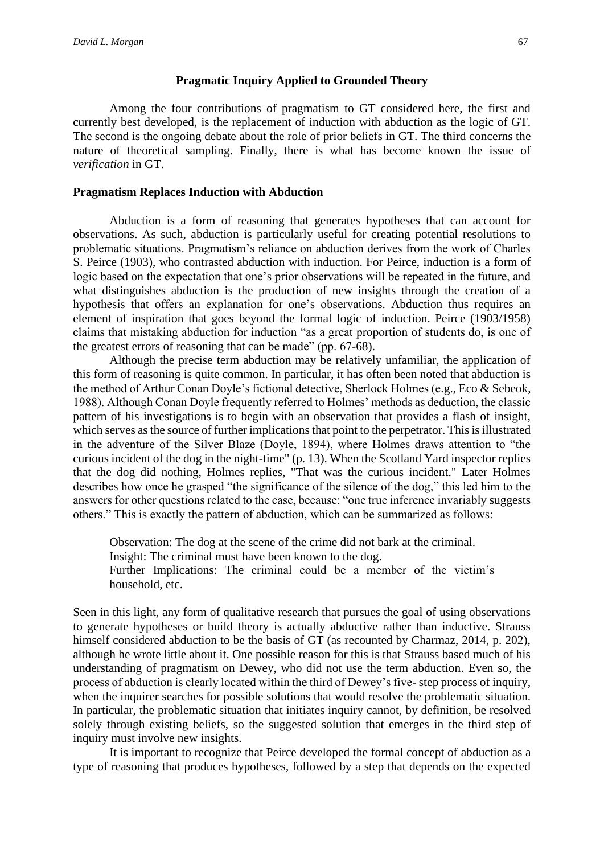#### **Pragmatic Inquiry Applied to Grounded Theory**

Among the four contributions of pragmatism to GT considered here, the first and currently best developed, is the replacement of induction with abduction as the logic of GT. The second is the ongoing debate about the role of prior beliefs in GT. The third concerns the nature of theoretical sampling. Finally, there is what has become known the issue of *verification* in GT.

#### **Pragmatism Replaces Induction with Abduction**

Abduction is a form of reasoning that generates hypotheses that can account for observations. As such, abduction is particularly useful for creating potential resolutions to problematic situations. Pragmatism's reliance on abduction derives from the work of Charles S. Peirce (1903), who contrasted abduction with induction. For Peirce, induction is a form of logic based on the expectation that one's prior observations will be repeated in the future, and what distinguishes abduction is the production of new insights through the creation of a hypothesis that offers an explanation for one's observations. Abduction thus requires an element of inspiration that goes beyond the formal logic of induction. Peirce (1903/1958) claims that mistaking abduction for induction "as a great proportion of students do, is one of the greatest errors of reasoning that can be made" (pp. 67-68).

Although the precise term abduction may be relatively unfamiliar, the application of this form of reasoning is quite common. In particular, it has often been noted that abduction is the method of Arthur Conan Doyle's fictional detective, Sherlock Holmes (e.g., Eco & Sebeok, 1988). Although Conan Doyle frequently referred to Holmes' methods as deduction, the classic pattern of his investigations is to begin with an observation that provides a flash of insight, which serves as the source of further implications that point to the perpetrator. This is illustrated in the adventure of the Silver Blaze (Doyle, 1894), where Holmes draws attention to "the curious incident of the dog in the night-time" (p. 13). When the Scotland Yard inspector replies that the dog did nothing, Holmes replies, "That was the curious incident." Later Holmes describes how once he grasped "the significance of the silence of the dog," this led him to the answers for other questions related to the case, because: "one true inference invariably suggests others." This is exactly the pattern of abduction, which can be summarized as follows:

Observation: The dog at the scene of the crime did not bark at the criminal. Insight: The criminal must have been known to the dog. Further Implications: The criminal could be a member of the victim's household, etc.

Seen in this light, any form of qualitative research that pursues the goal of using observations to generate hypotheses or build theory is actually abductive rather than inductive. Strauss himself considered abduction to be the basis of GT (as recounted by Charmaz, 2014, p. 202), although he wrote little about it. One possible reason for this is that Strauss based much of his understanding of pragmatism on Dewey, who did not use the term abduction. Even so, the process of abduction is clearly located within the third of Dewey's five- step process of inquiry, when the inquirer searches for possible solutions that would resolve the problematic situation. In particular, the problematic situation that initiates inquiry cannot, by definition, be resolved solely through existing beliefs, so the suggested solution that emerges in the third step of inquiry must involve new insights.

It is important to recognize that Peirce developed the formal concept of abduction as a type of reasoning that produces hypotheses, followed by a step that depends on the expected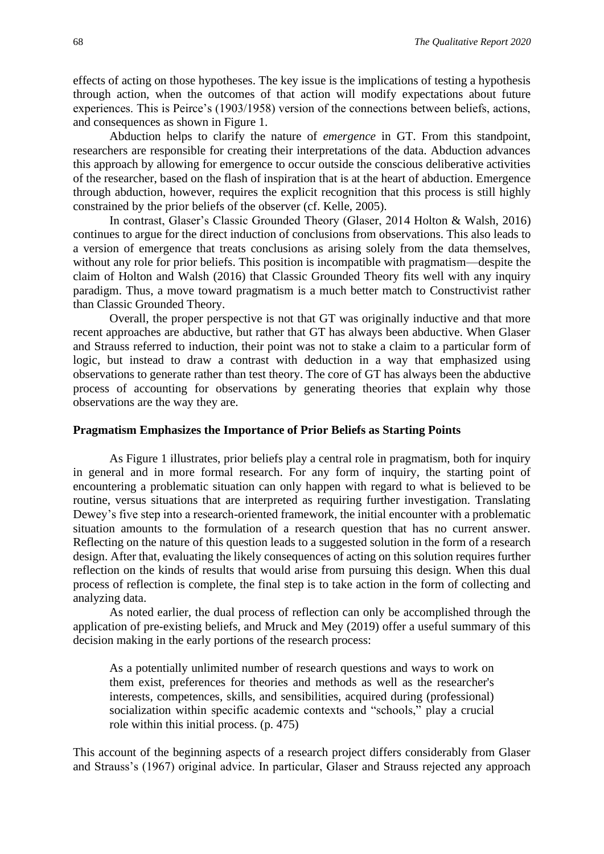effects of acting on those hypotheses. The key issue is the implications of testing a hypothesis through action, when the outcomes of that action will modify expectations about future experiences. This is Peirce's (1903/1958) version of the connections between beliefs, actions, and consequences as shown in Figure 1.

Abduction helps to clarify the nature of *emergence* in GT. From this standpoint, researchers are responsible for creating their interpretations of the data. Abduction advances this approach by allowing for emergence to occur outside the conscious deliberative activities of the researcher, based on the flash of inspiration that is at the heart of abduction. Emergence through abduction, however, requires the explicit recognition that this process is still highly constrained by the prior beliefs of the observer (cf. Kelle, 2005).

In contrast, Glaser's Classic Grounded Theory (Glaser, 2014 Holton & Walsh, 2016) continues to argue for the direct induction of conclusions from observations. This also leads to a version of emergence that treats conclusions as arising solely from the data themselves, without any role for prior beliefs. This position is incompatible with pragmatism—despite the claim of Holton and Walsh (2016) that Classic Grounded Theory fits well with any inquiry paradigm. Thus, a move toward pragmatism is a much better match to Constructivist rather than Classic Grounded Theory.

Overall, the proper perspective is not that GT was originally inductive and that more recent approaches are abductive, but rather that GT has always been abductive. When Glaser and Strauss referred to induction, their point was not to stake a claim to a particular form of logic, but instead to draw a contrast with deduction in a way that emphasized using observations to generate rather than test theory. The core of GT has always been the abductive process of accounting for observations by generating theories that explain why those observations are the way they are.

#### **Pragmatism Emphasizes the Importance of Prior Beliefs as Starting Points**

As Figure 1 illustrates, prior beliefs play a central role in pragmatism, both for inquiry in general and in more formal research. For any form of inquiry, the starting point of encountering a problematic situation can only happen with regard to what is believed to be routine, versus situations that are interpreted as requiring further investigation. Translating Dewey's five step into a research-oriented framework, the initial encounter with a problematic situation amounts to the formulation of a research question that has no current answer. Reflecting on the nature of this question leads to a suggested solution in the form of a research design. After that, evaluating the likely consequences of acting on this solution requires further reflection on the kinds of results that would arise from pursuing this design. When this dual process of reflection is complete, the final step is to take action in the form of collecting and analyzing data.

As noted earlier, the dual process of reflection can only be accomplished through the application of pre-existing beliefs, and Mruck and Mey (2019) offer a useful summary of this decision making in the early portions of the research process:

As a potentially unlimited number of research questions and ways to work on them exist, preferences for theories and methods as well as the researcher's interests, competences, skills, and sensibilities, acquired during (professional) socialization within specific academic contexts and "schools," play a crucial role within this initial process. (p. 475)

This account of the beginning aspects of a research project differs considerably from Glaser and Strauss's (1967) original advice. In particular, Glaser and Strauss rejected any approach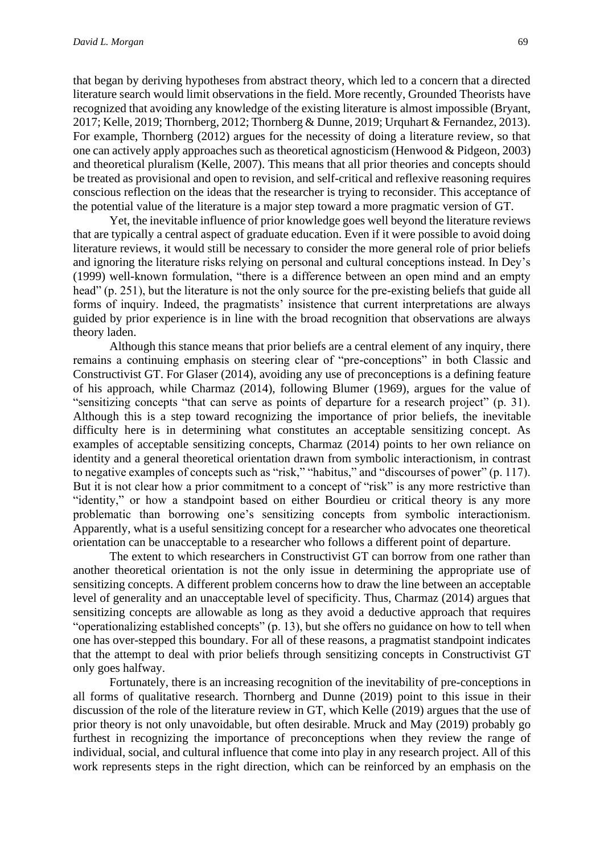that began by deriving hypotheses from abstract theory, which led to a concern that a directed literature search would limit observations in the field. More recently, Grounded Theorists have recognized that avoiding any knowledge of the existing literature is almost impossible (Bryant, 2017; Kelle, 2019; Thornberg, 2012; Thornberg & Dunne, 2019; Urquhart & Fernandez, 2013). For example, Thornberg (2012) argues for the necessity of doing a literature review, so that one can actively apply approaches such as theoretical agnosticism (Henwood & Pidgeon, 2003) and theoretical pluralism (Kelle, 2007). This means that all prior theories and concepts should be treated as provisional and open to revision, and self-critical and reflexive reasoning requires conscious reflection on the ideas that the researcher is trying to reconsider. This acceptance of the potential value of the literature is a major step toward a more pragmatic version of GT.

Yet, the inevitable influence of prior knowledge goes well beyond the literature reviews that are typically a central aspect of graduate education. Even if it were possible to avoid doing literature reviews, it would still be necessary to consider the more general role of prior beliefs and ignoring the literature risks relying on personal and cultural conceptions instead. In Dey's (1999) well-known formulation, "there is a difference between an open mind and an empty head" (p. 251), but the literature is not the only source for the pre-existing beliefs that guide all forms of inquiry. Indeed, the pragmatists' insistence that current interpretations are always guided by prior experience is in line with the broad recognition that observations are always theory laden.

Although this stance means that prior beliefs are a central element of any inquiry, there remains a continuing emphasis on steering clear of "pre-conceptions" in both Classic and Constructivist GT. For Glaser (2014), avoiding any use of preconceptions is a defining feature of his approach, while Charmaz (2014), following Blumer (1969), argues for the value of "sensitizing concepts "that can serve as points of departure for a research project" (p. 31). Although this is a step toward recognizing the importance of prior beliefs, the inevitable difficulty here is in determining what constitutes an acceptable sensitizing concept. As examples of acceptable sensitizing concepts, Charmaz (2014) points to her own reliance on identity and a general theoretical orientation drawn from symbolic interactionism, in contrast to negative examples of concepts such as "risk," "habitus," and "discourses of power" (p. 117). But it is not clear how a prior commitment to a concept of "risk" is any more restrictive than "identity," or how a standpoint based on either Bourdieu or critical theory is any more problematic than borrowing one's sensitizing concepts from symbolic interactionism. Apparently, what is a useful sensitizing concept for a researcher who advocates one theoretical orientation can be unacceptable to a researcher who follows a different point of departure.

The extent to which researchers in Constructivist GT can borrow from one rather than another theoretical orientation is not the only issue in determining the appropriate use of sensitizing concepts. A different problem concerns how to draw the line between an acceptable level of generality and an unacceptable level of specificity. Thus, Charmaz (2014) argues that sensitizing concepts are allowable as long as they avoid a deductive approach that requires "operationalizing established concepts" (p. 13), but she offers no guidance on how to tell when one has over-stepped this boundary. For all of these reasons, a pragmatist standpoint indicates that the attempt to deal with prior beliefs through sensitizing concepts in Constructivist GT only goes halfway.

Fortunately, there is an increasing recognition of the inevitability of pre-conceptions in all forms of qualitative research. Thornberg and Dunne (2019) point to this issue in their discussion of the role of the literature review in GT, which Kelle (2019) argues that the use of prior theory is not only unavoidable, but often desirable. Mruck and May (2019) probably go furthest in recognizing the importance of preconceptions when they review the range of individual, social, and cultural influence that come into play in any research project. All of this work represents steps in the right direction, which can be reinforced by an emphasis on the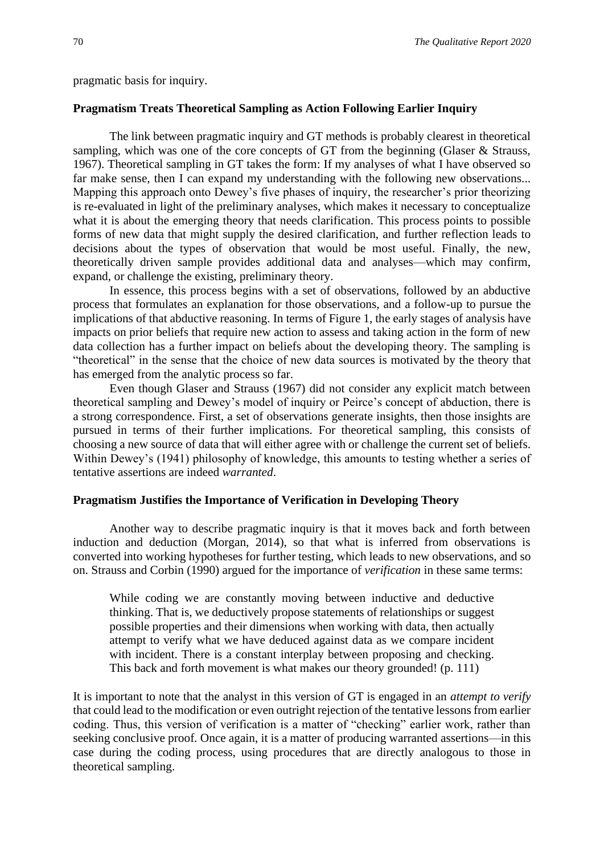pragmatic basis for inquiry.

#### **Pragmatism Treats Theoretical Sampling as Action Following Earlier Inquiry**

The link between pragmatic inquiry and GT methods is probably clearest in theoretical sampling, which was one of the core concepts of GT from the beginning (Glaser & Strauss, 1967). Theoretical sampling in GT takes the form: If my analyses of what I have observed so far make sense, then I can expand my understanding with the following new observations... Mapping this approach onto Dewey's five phases of inquiry, the researcher's prior theorizing is re-evaluated in light of the preliminary analyses, which makes it necessary to conceptualize what it is about the emerging theory that needs clarification. This process points to possible forms of new data that might supply the desired clarification, and further reflection leads to decisions about the types of observation that would be most useful. Finally, the new, theoretically driven sample provides additional data and analyses—which may confirm, expand, or challenge the existing, preliminary theory.

In essence, this process begins with a set of observations, followed by an abductive process that formulates an explanation for those observations, and a follow-up to pursue the implications of that abductive reasoning. In terms of Figure 1, the early stages of analysis have impacts on prior beliefs that require new action to assess and taking action in the form of new data collection has a further impact on beliefs about the developing theory. The sampling is "theoretical" in the sense that the choice of new data sources is motivated by the theory that has emerged from the analytic process so far.

Even though Glaser and Strauss (1967) did not consider any explicit match between theoretical sampling and Dewey's model of inquiry or Peirce's concept of abduction, there is a strong correspondence. First, a set of observations generate insights, then those insights are pursued in terms of their further implications. For theoretical sampling, this consists of choosing a new source of data that will either agree with or challenge the current set of beliefs. Within Dewey's (1941) philosophy of knowledge, this amounts to testing whether a series of tentative assertions are indeed *warranted*.

#### **Pragmatism Justifies the Importance of Verification in Developing Theory**

Another way to describe pragmatic inquiry is that it moves back and forth between induction and deduction (Morgan, 2014), so that what is inferred from observations is converted into working hypotheses for further testing, which leads to new observations, and so on. Strauss and Corbin (1990) argued for the importance of *verification* in these same terms:

While coding we are constantly moving between inductive and deductive thinking. That is, we deductively propose statements of relationships or suggest possible properties and their dimensions when working with data, then actually attempt to verify what we have deduced against data as we compare incident with incident. There is a constant interplay between proposing and checking. This back and forth movement is what makes our theory grounded! (p. 111)

It is important to note that the analyst in this version of GT is engaged in an *attempt to verify* that could lead to the modification or even outright rejection of the tentative lessons from earlier coding. Thus, this version of verification is a matter of "checking" earlier work, rather than seeking conclusive proof. Once again, it is a matter of producing warranted assertions—in this case during the coding process, using procedures that are directly analogous to those in theoretical sampling.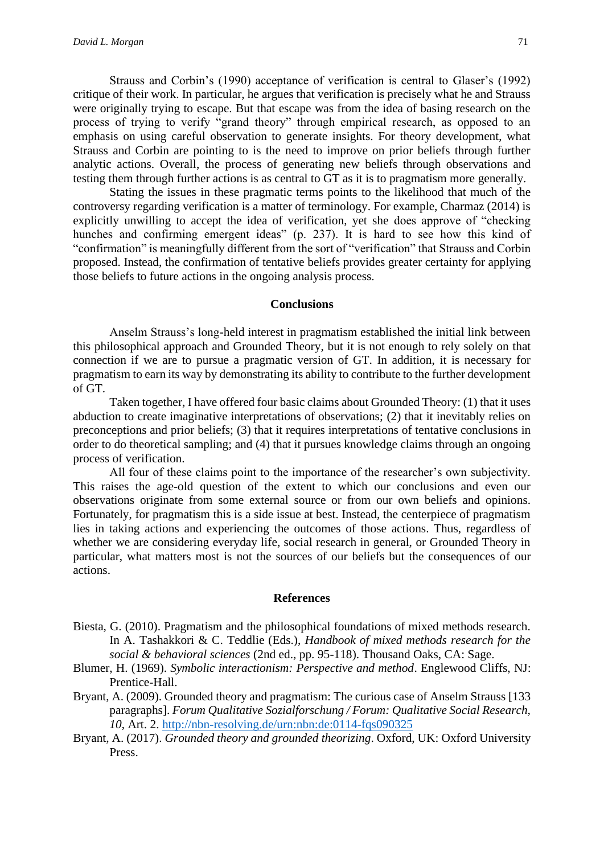Strauss and Corbin's (1990) acceptance of verification is central to Glaser's (1992) critique of their work. In particular, he argues that verification is precisely what he and Strauss were originally trying to escape. But that escape was from the idea of basing research on the process of trying to verify "grand theory" through empirical research, as opposed to an emphasis on using careful observation to generate insights. For theory development, what Strauss and Corbin are pointing to is the need to improve on prior beliefs through further analytic actions. Overall, the process of generating new beliefs through observations and testing them through further actions is as central to GT as it is to pragmatism more generally.

Stating the issues in these pragmatic terms points to the likelihood that much of the controversy regarding verification is a matter of terminology. For example, Charmaz (2014) is explicitly unwilling to accept the idea of verification, yet she does approve of "checking hunches and confirming emergent ideas" (p. 237). It is hard to see how this kind of "confirmation" is meaningfully different from the sort of "verification" that Strauss and Corbin proposed. Instead, the confirmation of tentative beliefs provides greater certainty for applying those beliefs to future actions in the ongoing analysis process.

#### **Conclusions**

Anselm Strauss's long-held interest in pragmatism established the initial link between this philosophical approach and Grounded Theory, but it is not enough to rely solely on that connection if we are to pursue a pragmatic version of GT. In addition, it is necessary for pragmatism to earn its way by demonstrating its ability to contribute to the further development of GT.

Taken together, I have offered four basic claims about Grounded Theory: (1) that it uses abduction to create imaginative interpretations of observations; (2) that it inevitably relies on preconceptions and prior beliefs; (3) that it requires interpretations of tentative conclusions in order to do theoretical sampling; and (4) that it pursues knowledge claims through an ongoing process of verification.

All four of these claims point to the importance of the researcher's own subjectivity. This raises the age-old question of the extent to which our conclusions and even our observations originate from some external source or from our own beliefs and opinions. Fortunately, for pragmatism this is a side issue at best. Instead, the centerpiece of pragmatism lies in taking actions and experiencing the outcomes of those actions. Thus, regardless of whether we are considering everyday life, social research in general, or Grounded Theory in particular, what matters most is not the sources of our beliefs but the consequences of our actions.

#### **References**

- Biesta, G. (2010). Pragmatism and the philosophical foundations of mixed methods research. In A. Tashakkori & C. Teddlie (Eds.), *Handbook of mixed methods research for the social & behavioral sciences* (2nd ed., pp. 95-118). Thousand Oaks, CA: Sage.
- Blumer, H. (1969). *Symbolic interactionism: Perspective and method*. Englewood Cliffs, NJ: Prentice-Hall.
- Bryant, A. (2009). Grounded theory and pragmatism: The curious case of Anselm Strauss [133 paragraphs]. *Forum Qualitative Sozialforschung / Forum: Qualitative Social Research, 10*, Art. 2.<http://nbn-resolving.de/urn:nbn:de:0114-fqs090325>
- Bryant, A. (2017). *Grounded theory and grounded theorizing*. Oxford, UK: Oxford University Press.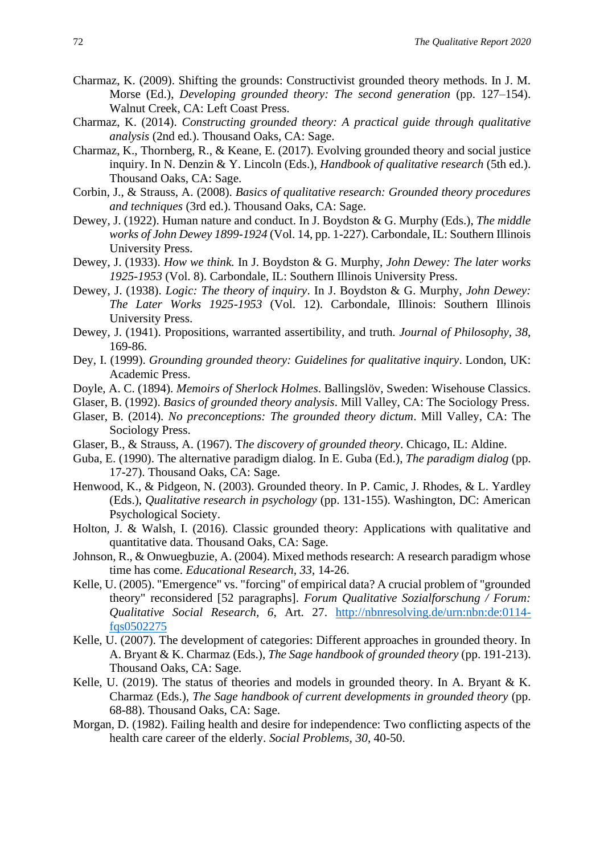- Charmaz, K. (2009). Shifting the grounds: Constructivist grounded theory methods. In J. M. Morse (Ed.), *Developing grounded theory: The second generation* (pp. 127–154). Walnut Creek, CA: Left Coast Press.
- Charmaz, K. (2014). *Constructing grounded theory: A practical guide through qualitative analysis* (2nd ed.). Thousand Oaks, CA: Sage.
- Charmaz, K., Thornberg, R., & Keane, E. (2017). Evolving grounded theory and social justice inquiry. In N. Denzin & Y. Lincoln (Eds.), *Handbook of qualitative research* (5th ed.). Thousand Oaks, CA: Sage.
- Corbin, J., & Strauss, A. (2008). *Basics of qualitative research: Grounded theory procedures and techniques* (3rd ed.). Thousand Oaks, CA: Sage.
- Dewey, J. (1922). Human nature and conduct. In J. Boydston & G. Murphy (Eds.), *The middle works of John Dewey 1899-1924* (Vol. 14, pp. 1-227). Carbondale, IL: Southern Illinois University Press.
- Dewey, J. (1933). *How we think.* In J. Boydston & G. Murphy, *John Dewey: The later works 1925-1953* (Vol. 8). Carbondale, IL: Southern Illinois University Press.
- Dewey, J. (1938). *Logic: The theory of inquiry*. In J. Boydston & G. Murphy, *John Dewey: The Later Works 1925-1953* (Vol. 12). Carbondale, Illinois: Southern Illinois University Press.
- Dewey, J. (1941). Propositions, warranted assertibility, and truth. *Journal of Philosophy, 38*, 169-86.
- Dey, I. (1999). *Grounding grounded theory: Guidelines for qualitative inquiry*. London, UK: Academic Press.
- Doyle, A. C. (1894). *Memoirs of Sherlock Holmes*. Ballingslöv, Sweden: Wisehouse Classics.
- Glaser, B. (1992). *Basics of grounded theory analysis*. Mill Valley, CA: The Sociology Press.
- Glaser, B. (2014). *No preconceptions: The grounded theory dictum*. Mill Valley, CA: The Sociology Press.
- Glaser, B., & Strauss, A. (1967). T*he discovery of grounded theory*. Chicago, IL: Aldine.
- Guba, E. (1990). The alternative paradigm dialog. In E. Guba (Ed.), *The paradigm dialog* (pp. 17-27). Thousand Oaks, CA: Sage.
- Henwood, K., & Pidgeon, N. (2003). Grounded theory. In P. Camic, J. Rhodes, & L. Yardley (Eds.), *Qualitative research in psychology* (pp. 131-155). Washington, DC: American Psychological Society.
- Holton, J. & Walsh, I. (2016). Classic grounded theory: Applications with qualitative and quantitative data. Thousand Oaks, CA: Sage.
- Johnson, R., & Onwuegbuzie, A. (2004). Mixed methods research: A research paradigm whose time has come. *Educational Research, 33*, 14-26.
- Kelle, U. (2005). "Emergence" vs. "forcing" of empirical data? A crucial problem of "grounded theory" reconsidered [52 paragraphs]. *Forum Qualitative Sozialforschung / Forum: Qualitative Social Research, 6*, Art. 27. [http://nbnresolving.de/urn:nbn:de:0114](http://nbnresolving.de/urn:nbn:de:0114-fqs0502275) [fqs0502275](http://nbnresolving.de/urn:nbn:de:0114-fqs0502275)
- Kelle, U. (2007). The development of categories: Different approaches in grounded theory. In A. Bryant & K. Charmaz (Eds.), *The Sage handbook of grounded theory* (pp. 191-213). Thousand Oaks, CA: Sage.
- Kelle, U. (2019). The status of theories and models in grounded theory. In A. Bryant & K. Charmaz (Eds.), *The Sage handbook of current developments in grounded theory* (pp. 68-88). Thousand Oaks, CA: Sage.
- Morgan, D. (1982). Failing health and desire for independence: Two conflicting aspects of the health care career of the elderly. *Social Problems, 30*, 40-50.